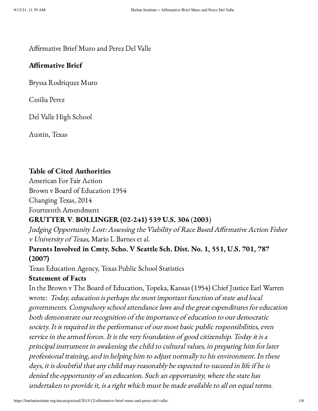### Affirmative Brief Muro and Perez Del Valle

### Affirmative Brief

Bryssa Rodriquez Muro

Cesilia Perez

Del Valle High School

Austin, Texas

## Table of Cited Authorities

American For Fair Action Brown v Board of Education 1954

Changing Texas, 2014

Fourteenth Amendment

## GRUTTER V. BOLLINGER (02-241) 539 U.S. 306 (2003)

Judging Opportunity Lost: Assessing the Viability of Race Based Affirmative Action Fisher <sup>v</sup> University of Texas, Mario L Barnes et al.

## Parents Involved in Cmty. Scho. V Seattle Sch. Dist. No. 1, 551, U.S. 701, 787 (2007)

Texas Education Agency, Texas Public School Statistics

## Statement of Facts

In the Brown v The Board of Education, Topeka, Kansas (1954) Chief Justice Earl Warren wrote: Today, education is perhaps the most important function of state and local governments. Compulsory school attendance laws and the great expenditures for education both demonstrate our recognition of the importance of education to our democratic society. It is required in the performance of our most basic public responsibilities, even service in the armed forces. It is the very foundation of good citizenship. Today it is a principal instrument in awakening the child to cultural values, in preparing him for later professional training, and in helping him to adjust normally to his environment. In these days, it is doubtful that any child may reasonably be expected to succeed in life if he is denied the opportunity of an education. Such an opportunity, where the state has undertaken to provide it, is a right which must be made available to all on equal terms.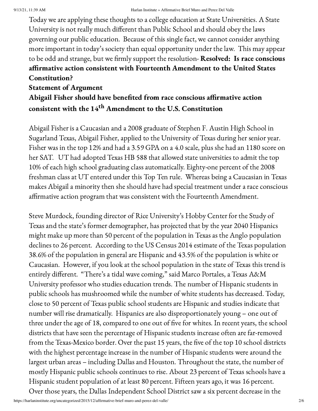Today we are applying these thoughts to a college education at State Universities. A State University is not really much different than Public School and should obey the laws governing our public education. Because of this single fact, we cannot consider anything more important in today's society than equal opportunity under the law. This may appear to be odd and strange, but we firmly support the resolution- Resolved: Is race conscious affirmative action consistent with Fourteenth Amendment to the United States Constitution?

# Statement of Argument Abigail Fisher should have benefited from race conscious affirmative action consistent with the  $14^{\text{th}}$  Amendment to the U.S. Constitution

Abigail Fisher is a Caucasian and a 2008 graduate of Stephen F. Austin High School in Sugarland Texas, Abigail Fisher, applied to the University of Texas during her senior year. Fisher was in the top 12% and had a 3.59 GPA on a 4.0 scale, plus she had an 1180 score on her SAT. UT had adopted Texas HB 588 that allowed state universities to admit the top 10% of each high school graduating class automatically. Eighty-one percent of the 2008 freshman class at UT entered under this Top Ten rule. Whereas being a Caucasian in Texas makes Abigail a minority then she should have had special treatment under a race conscious affirmative action program that was consistent with the Fourteenth Amendment.

Steve Murdock, founding director of Rice University's Hobby Center for the Study of Texas and the state's former demographer, has projected that by the year 2040 Hispanics might make up more than 50 percent of the population in Texas as the Anglo population declines to 26 percent. According to the US Census 2014 estimate of the Texas population 38.6% of the population in general are Hispanic and 43.5% of the population is white or Caucasian. However, if you look at the school population in the state of Texas this trend is entirely different. "There's a tidal wave coming," said Marco Portales, a Texas A&M University professor who studies education trends. The number of Hispanic students in public schools has mushroomed while the number of white students has decreased. Today, close to 50 percent of Texas public school students are Hispanic and studies indicate that number will rise dramatically. Hispanics are also disproportionately young – one out of three under the age of 18, compared to one out of five for whites. In recent years, the school districts that have seen the percentage of Hispanic students increase often are far-removed from the Texas-Mexico border. Over the past 15 years, the five of the top 10 school districts with the highest percentage increase in the number of Hispanic students were around the largest urban areas – including Dallas and Houston. Throughout the state, the number of mostly Hispanic public schools continues to rise. About 23 percent of Texas schools have a Hispanic student population of at least 80 percent. Fifteen years ago, it was 16 percent. Over those years, the Dallas Independent School District saw a six percent decrease in the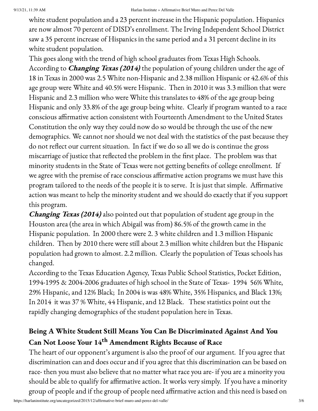white student population and a 23 percent increase in the Hispanic population. Hispanics are now almost 70 percent of DISD's enrollment. The Irving Independent School District saw a 35 percent increase of Hispanics in the same period and a 31 percent decline in its white student population.

This goes along with the trend of high school graduates from Texas High Schools. According to *Changing Texas (2014)* the population of young children under the age of 18 in Texas in 2000 was 2.5 White non-Hispanic and 2.38 million Hispanic or 42.6% of this age group were White and 40.5% were Hispanic. Then in 2010 it was 3.3 million that were Hispanic and 2.3 million who were White this translates to 48% of the age group being Hispanic and only 33.8% of the age group being white. Clearly if program wanted to a race conscious affirmative action consistent with Fourteenth Amendment to the United States Constitution the only way they could now do so would be through the use of the new demographics. We cannot nor should we not deal with the statistics of the past because they do not reflect our current situation. In fact if we do so all we do is continue the gross miscarriage of justice that reflected the problem in the first place. The problem was that minority students in the State of Texas were not getting benefits of college enrollment. If we agree with the premise of race conscious affirmative action programs we must have this program tailored to the needs of the people it is to serve. It is just that simple. Affirmative action was meant to help the minority student and we should do exactly that if you support this program.

Changing Texas (2014) also pointed out that population of student age group in the Houston area (the area in which Abigail was from) 86.5% of the growth came in the Hispanic population. In 2000 there were 2. 3 white children and 1.3 million Hispanic children. Then by 2010 there were still about 2.3 million white children but the Hispanic population had grown to almost. 2.2 million. Clearly the population of Texas schools has changed.

According to the Texas Education Agency, Texas Public School Statistics, Pocket Edition, 1994-1995 & 2004-2006 graduates of high school in the State of Texas- 1994 56% White, 29% Hispanic, and 12% Black; In 2004 is was 48% White, 35% Hispanics, and Black 13%; In 2014 it was 37 % White, 44 Hispanic, and 12 Black. These statistics point out the rapidly changing demographics of the student population here in Texas.

# Being A White Student Still Means You Can Be Discriminated Against And You Can Not Loose Your 14 th Amendment Rights Because of Race

The heart of our opponent's argument is also the proof of our argument. If you agree that discrimination can and does occur and if you agree that this discrimination can be based on race- then you must also believe that no matter what race you are- if you are a minority you should be able to qualify for affirmative action. It works very simply. If you have a minority group of people and if the group of people need affirmative action and this need is based on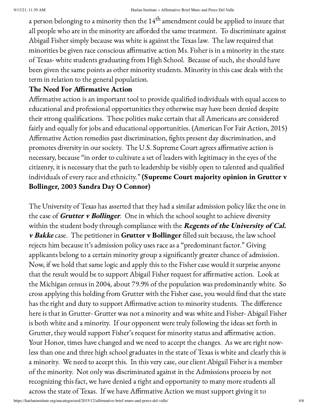a person belonging to a minority then the  $14^{\rm th}$  amendment could be applied to insure that all people who are in the minority are afforded the same treatment. To discriminate against Abigail Fisher simply because was white is against the Texas law. The law required that minorities be given race conscious affirmative action Ms. Fisher is in a minority in the state of Texas- white students graduating from High School. Because of such, she should have been given the same points as other minority students. Minority in this case deals with the term in relation to the general population.

# The Need For Affirmative Action

Affirmative action is an important tool to provide qualified individuals with equal access to educational and professional opportunities they otherwise may have been denied despite their strong qualifications. These polities make certain that all Americans are considered fairly and equally for jobs and educational opportunities. (American For Fair Action, 2015) Affirmative Action remedies past discrimination, fights present day discrimination, and promotes diversity in our society. The U.S. Supreme Court agrees affirmative action is necessary, because "in order to cultivate a set of leaders with legitimacy in the eyes of the citizenry, it is necessary that the path to leadership be visibly open to talented and qualified individuals of every race and ethnicity." (Supreme Court majority opinion in Grutter v Bollinger, 2003 Sandra Day O Connor)

The University of Texas has asserted that they had a similar admission policy like the one in the case of **Grutter v Bollinger**. One in which the school sought to achieve diversity within the student body through compliance with the Regents of the University of Cal. v Bakke case. The petitioner in Grutter v Bollinger filled suit because, the law school rejects him because it's admission policy uses race as a "predominant factor." Giving applicants belong to a certain minority group a significantly greater chance of admission. Now, if we hold that same logic and apply this to the Fisher case would it surprise anyone that the result would be to support Abigail Fisher request for affirmative action. Look at the Michigan census in 2004, about 79.9% of the population was predominantly white. So cross applying this holding from Grutter with the Fisher case, you would find that the state has the right and duty to support Affirmative action to minority students. The difference here is that in Grutter- Grutter was not a minority and was white and Fisher- Abigail Fisher is both white and a minority. If our opponent were truly following the ideas set forth in Grutter, they would support Fisher's request for minority status and affirmative action. Your Honor, times have changed and we need to accept the changes. As we are right nowless than one and three high school graduates in the state of Texas is white and clearly this is a minority. We need to accept this. In this very case, our client Abigail Fisher is a member of the minority. Not only was discriminated against in the Admissions process by not recognizing this fact, we have denied a right and opportunity to many more students all across the state of Texas. If we have Affirmative Action we must support giving it to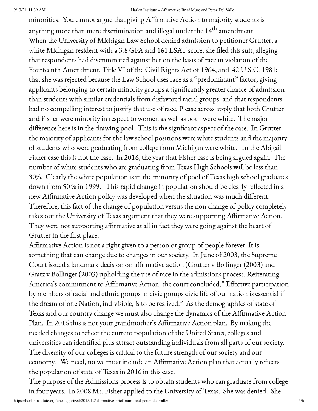#### 9/13/21, 11:39 AM Harlan Institute » Affirmative Brief Muro and Perez Del Valle

minorities. You cannot argue that giving Affirmative Action to majority students is anything more than mere discrimination and illegal under the  $14^{\rm th}$  amendment. When the University of Michigan Law School denied admission to petitioner Grutter, a white Michigan resident with a 3.8 GPA and 161 LSAT score, she filed this suit, alleging that respondents had discriminated against her on the basis of race in violation of the Fourteenth Amendment, Title VI of the Civil Rights Act of 1964, and 42 U.S.C. 1981; that she was rejected because the Law School uses race as a "predominant" factor, giving applicants belonging to certain minority groups a significantly greater chance of admission than students with similar credentials from disfavored racial groups; and that respondents had no compelling interest to justify that use of race. Please across apply that both Grutter and Fisher were minority in respect to women as well as both were white. The major difference here is in the drawing pool. This is the signficant aspect of the case. In Grutter the majority of applicants for the law school positions were white students and the majority of students who were graduating from college from Michigan were white. In the Abigail Fisher case this is not the case. In 2016, the year that Fisher case is being argued again. The number of white students who are graduating from Texas High Schools will be less than 30%. Clearly the white population is in the minority of pool of Texas high school graduates down from 50 % in 1999. This rapid change in population should be clearly reflected in a new Affirmative Action policy was developed when the situation was much different. Therefore, this fact of the change of population versus the non change of policy completely takes out the University of Texas argument that they were supporting Affirmative Action. They were not supporting affirmative at all in fact they were going against the heart of Grutter in the first place.

Affirmative Action is not a right given to a person or group of people forever. It is something that can change due to changes in our society. In June of 2003, the Supreme Court issued a landmark decision on affirmative action (Grutter v Bollinger (2003) and Gratz v Bollinger (2003) upholding the use of race in the admissions process. Reiterating America's commitment to Affirmative Action, the court concluded," Effective participation by members of racial and ethnic groups in civic groups civic life of our nation is essential if the dream of one Nation, indivisible, is to be realized." As the demographics of state of Texas and our country change we must also change the dynamics of the Affirmative Action Plan. In 2016 this is not your grandmother's Affirmative Action plan. By making the needed changes to reflect the current population of the United States, colleges and universities can identified plus attract outstanding individuals from all parts of our society. The diversity of our colleges is critical to the future strength of our society and our economy. We need, no we must include an Affirmative Action plan that actually reflects the population of state of Texas in 2016 in this case.

The purpose of the Admissions process is to obtain students who can graduate from college in four years. In 2008 Ms. Fisher applied to the University of Texas. She was denied. She